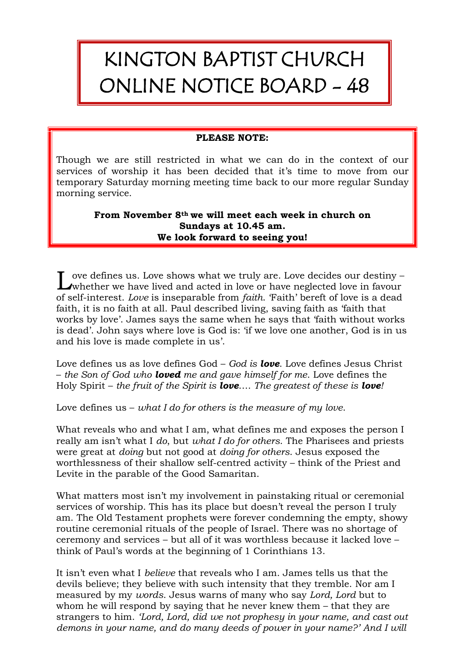## KINGTON BAPTIST CHURCH ONLINE NOTICE BOARD - 48

## **PLEASE NOTE:**

Though we are still restricted in what we can do in the context of our services of worship it has been decided that it's time to move from our temporary Saturday morning meeting time back to our more regular Sunday morning service.

## **From November 8th we will meet each week in church on Sundays at 10.45 am. We look forward to seeing you!**

ove defines us. Love shows what we truly are. Love decides our destiny – Love defines us. Love shows what we truly are. Love decides our destiny – whether we have lived and acted in love or have neglected love in favour of self-interest. *Love* is inseparable from *faith*. 'Faith' bereft of love is a dead faith, it is no faith at all. Paul described living, saving faith as 'faith that works by love'. James says the same when he says that 'faith without works is dead'. John says where love is God is: 'if we love one another, God is in us and his love is made complete in us'.

Love defines us as love defines God – *God is love*. Love defines Jesus Christ – *the Son of God who loved me and gave himself for me*. Love defines the Holy Spirit – *the fruit of the Spirit is love*…. *The greatest of these is love!*

Love defines us – *what I do for others is the measure of my love*.

What reveals who and what I am, what defines me and exposes the person I really am isn't what I *do*, but *what I do for others*. The Pharisees and priests were great at *doing* but not good at *doing for others*. Jesus exposed the worthlessness of their shallow self-centred activity – think of the Priest and Levite in the parable of the Good Samaritan.

What matters most isn't my involvement in painstaking ritual or ceremonial services of worship. This has its place but doesn't reveal the person I truly am. The Old Testament prophets were forever condemning the empty, showy routine ceremonial rituals of the people of Israel. There was no shortage of ceremony and services – but all of it was worthless because it lacked love – think of Paul's words at the beginning of 1 Corinthians 13.

It isn't even what I *believe* that reveals who I am. James tells us that the devils believe; they believe with such intensity that they tremble. Nor am I measured by my *words*. Jesus warns of many who say *Lord, Lord* but to whom he will respond by saying that he never knew them – that they are strangers to him. *'Lord, Lord, did we not prophesy in your name, and cast out demons in your name, and do many deeds of power in your name?' And I will*